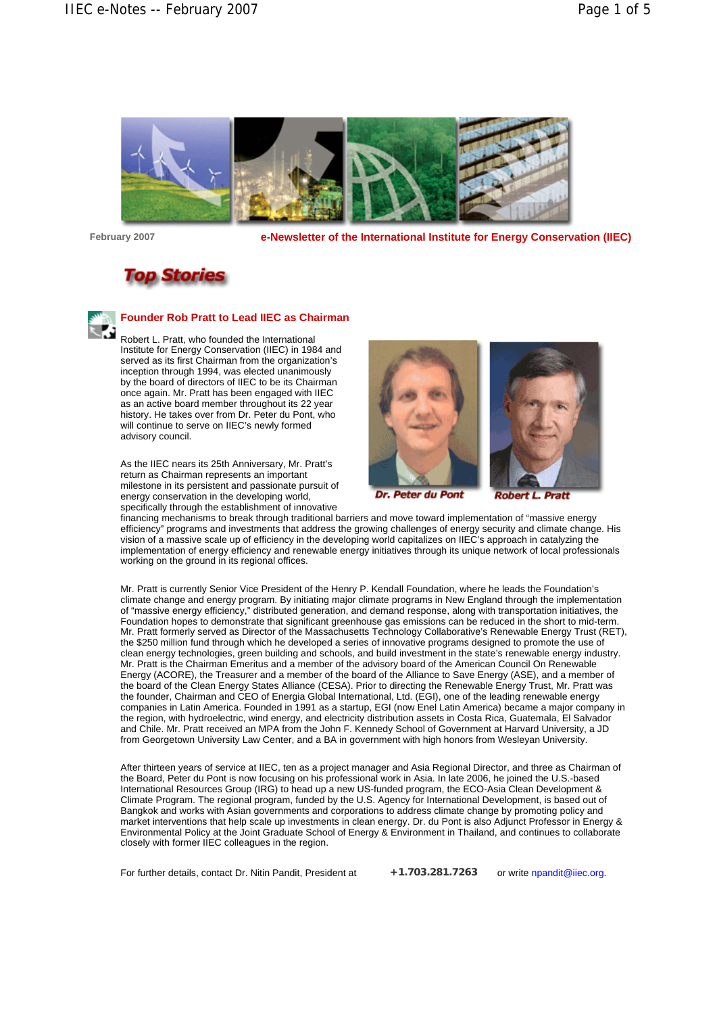

**February 2007 e-Newsletter of the International Institute for Energy Conservation (IIEC)**



# **Founder Rob Pratt to Lead IIEC as Chairman**

Robert L. Pratt, who founded the International Institute for Energy Conservation (IIEC) in 1984 and served as its first Chairman from the organization's inception through 1994, was elected unanimously by the board of directors of IIEC to be its Chairman once again. Mr. Pratt has been engaged with IIEC as an active board member throughout its 22 year history. He takes over from Dr. Peter du Pont, who will continue to serve on IIEC's newly formed advisory council.

As the IIEC nears its 25th Anniversary, Mr. Pratt's return as Chairman represents an important milestone in its persistent and passionate pursuit of energy conservation in the developing world, specifically through the establishment of innovative





**Dr. Peter du Pont** 

**Robert** Pratt

financing mechanisms to break through traditional barriers and move toward implementation of "massive energy efficiency" programs and investments that address the growing challenges of energy security and climate change. His vision of a massive scale up of efficiency in the developing world capitalizes on IIEC's approach in catalyzing the implementation of energy efficiency and renewable energy initiatives through its unique network of local professionals working on the ground in its regional offices.

Mr. Pratt is currently Senior Vice President of the Henry P. Kendall Foundation, where he leads the Foundation's climate change and energy program. By initiating major climate programs in New England through the implementation of "massive energy efficiency," distributed generation, and demand response, along with transportation initiatives, the Foundation hopes to demonstrate that significant greenhouse gas emissions can be reduced in the short to mid-term. Mr. Pratt formerly served as Director of the Massachusetts Technology Collaborative's Renewable Energy Trust (RET), the \$250 million fund through which he developed a series of innovative programs designed to promote the use of clean energy technologies, green building and schools, and build investment in the state's renewable energy industry. Mr. Pratt is the Chairman Emeritus and a member of the advisory board of the American Council On Renewable Energy (ACORE), the Treasurer and a member of the board of the Alliance to Save Energy (ASE), and a member of the board of the Clean Energy States Alliance (CESA). Prior to directing the Renewable Energy Trust, Mr. Pratt was the founder, Chairman and CEO of Energia Global International, Ltd. (EGI), one of the leading renewable energy companies in Latin America. Founded in 1991 as a startup, EGI (now Enel Latin America) became a major company in the region, with hydroelectric, wind energy, and electricity distribution assets in Costa Rica, Guatemala, El Salvador and Chile. Mr. Pratt received an MPA from the John F. Kennedy School of Government at Harvard University, a JD from Georgetown University Law Center, and a BA in government with high honors from Wesleyan University.

After thirteen years of service at IIEC, ten as a project manager and Asia Regional Director, and three as Chairman of the Board, Peter du Pont is now focusing on his professional work in Asia. In late 2006, he joined the U.S.-based International Resources Group (IRG) to head up a new US-funded program, the ECO-Asia Clean Development & Climate Program. The regional program, funded by the U.S. Agency for International Development, is based out of Bangkok and works with Asian governments and corporations to address climate change by promoting policy and market interventions that help scale up investments in clean energy. Dr. du Pont is also Adjunct Professor in Energy & Environmental Policy at the Joint Graduate School of Energy & Environment in Thailand, and continues to collaborate closely with former IIEC colleagues in the region.

For further details, contact Dr. Nitin Pandit, President at  $r$  +1.703.281.7263 or write npandit@iiec.org.

**+1.703.281.7263**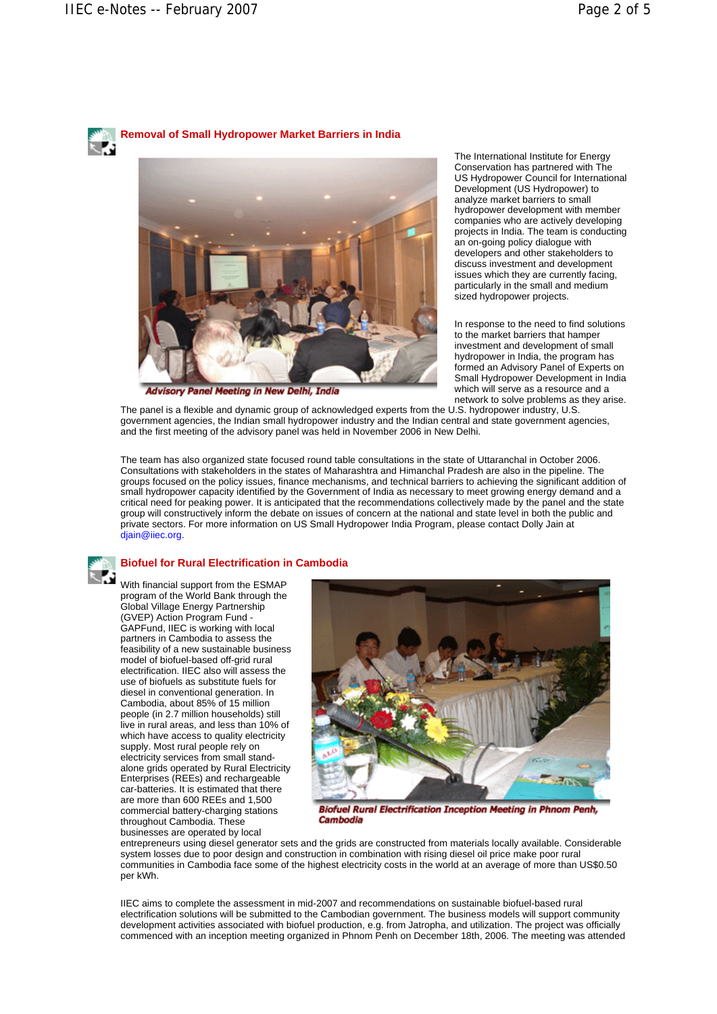

**Removal of Small Hydropower Market Barriers in India**



**Advisory Panel Meeting in New Delhi, India** 

The International Institute for Energy Conservation has partnered with The US Hydropower Council for International Development (US Hydropower) to analyze market barriers to small hydropower development with member companies who are actively developing projects in India. The team is conducting an on-going policy dialogue with developers and other stakeholders to discuss investment and development issues which they are currently facing, particularly in the small and medium sized hydropower projects.

In response to the need to find solutions to the market barriers that hamper investment and development of small hydropower in India, the program has formed an Advisory Panel of Experts on Small Hydropower Development in India which will serve as a resource and a network to solve problems as they arise.

The panel is a flexible and dynamic group of acknowledged experts from the U.S. hydropower industry, U.S. government agencies, the Indian small hydropower industry and the Indian central and state government agencies, and the first meeting of the advisory panel was held in November 2006 in New Delhi.

The team has also organized state focused round table consultations in the state of Uttaranchal in October 2006. Consultations with stakeholders in the states of Maharashtra and Himanchal Pradesh are also in the pipeline. The groups focused on the policy issues, finance mechanisms, and technical barriers to achieving the significant addition of small hydropower capacity identified by the Government of India as necessary to meet growing energy demand and a critical need for peaking power. It is anticipated that the recommendations collectively made by the panel and the state group will constructively inform the debate on issues of concern at the national and state level in both the public and private sectors. For more information on US Small Hydropower India Program, please contact Dolly Jain at diain@iiec.org.



## **Biofuel for Rural Electrification in Cambodia**

With financial support from the ESMAP program of the World Bank through the Global Village Energy Partnership (GVEP) Action Program Fund - GAPFund, IIEC is working with local partners in Cambodia to assess the feasibility of a new sustainable business model of biofuel-based off-grid rural electrification. IIEC also will assess the use of biofuels as substitute fuels for diesel in conventional generation. In Cambodia, about 85% of 15 million people (in 2.7 million households) still live in rural areas, and less than 10% of which have access to quality electricity supply. Most rural people rely on electricity services from small standalone grids operated by Rural Electricity Enterprises (REEs) and rechargeable car-batteries. It is estimated that there are more than 600 REEs and 1,500 commercial battery-charging stations throughout Cambodia. These businesses are operated by local



**Biofuel Rural Electrification Inception Meeting in Phnom Penh,** Cambodia

entrepreneurs using diesel generator sets and the grids are constructed from materials locally available. Considerable system losses due to poor design and construction in combination with rising diesel oil price make poor rural communities in Cambodia face some of the highest electricity costs in the world at an average of more than US\$0.50 per kWh.

IIEC aims to complete the assessment in mid-2007 and recommendations on sustainable biofuel-based rural electrification solutions will be submitted to the Cambodian government. The business models will support community development activities associated with biofuel production, e.g. from Jatropha, and utilization. The project was officially commenced with an inception meeting organized in Phnom Penh on December 18th, 2006. The meeting was attended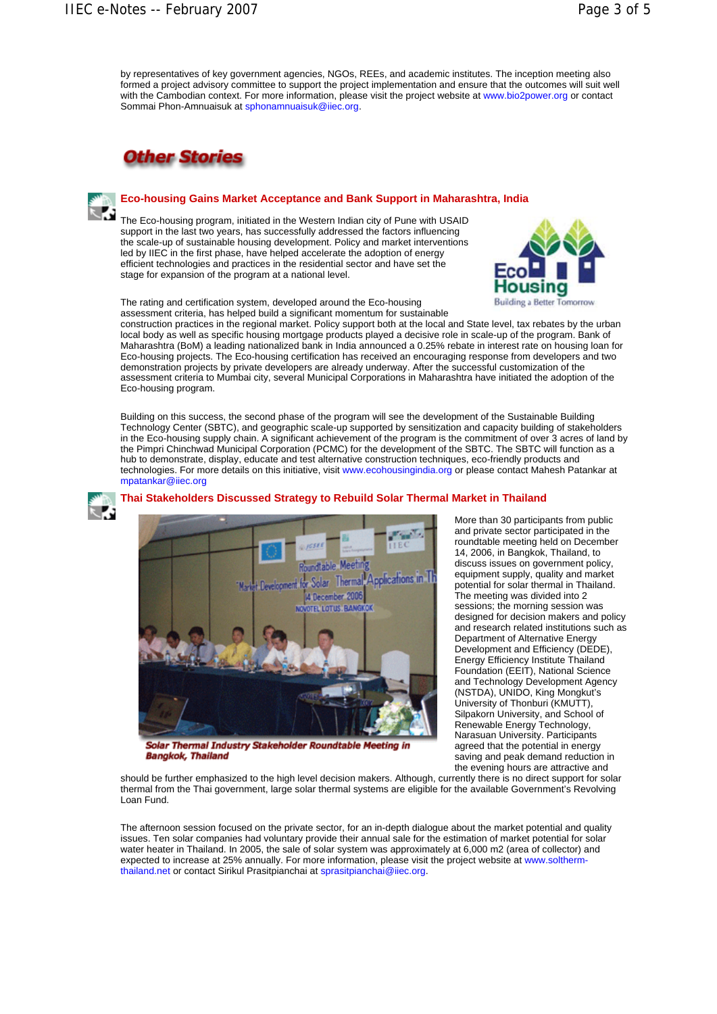by representatives of key government agencies, NGOs, REEs, and academic institutes. The inception meeting also formed a project advisory committee to support the project implementation and ensure that the outcomes will suit well with the Cambodian context. For more information, please visit the project website at www.bio2power.org or contact Sommai Phon-Amnuaisuk at sphonamnuaisuk@iiec.org.



# **Eco-housing Gains Market Acceptance and Bank Support in Maharashtra, India**

The Eco-housing program, initiated in the Western Indian city of Pune with USAID support in the last two years, has successfully addressed the factors influencing the scale-up of sustainable housing development. Policy and market interventions led by IIEC in the first phase, have helped accelerate the adoption of energy efficient technologies and practices in the residential sector and have set the stage for expansion of the program at a national level.

The rating and certification system, developed around the Eco-housing assessment criteria, has helped build a significant momentum for sustainable

construction practices in the regional market. Policy support both at the local and State level, tax rebates by the urban local body as well as specific housing mortgage products played a decisive role in scale-up of the program. Bank of Maharashtra (BoM) a leading nationalized bank in India announced a 0.25% rebate in interest rate on housing loan for Eco-housing projects. The Eco-housing certification has received an encouraging response from developers and two demonstration projects by private developers are already underway. After the successful customization of the assessment criteria to Mumbai city, several Municipal Corporations in Maharashtra have initiated the adoption of the Eco-housing program.

Building on this success, the second phase of the program will see the development of the Sustainable Building Technology Center (SBTC), and geographic scale-up supported by sensitization and capacity building of stakeholders in the Eco-housing supply chain. A significant achievement of the program is the commitment of over 3 acres of land by the Pimpri Chinchwad Municipal Corporation (PCMC) for the development of the SBTC. The SBTC will function as a hub to demonstrate, display, educate and test alternative construction techniques, eco-friendly products and technologies. For more details on this initiative, visit www.ecohousingindia.org or please contact Mahesh Patankar at mpatankar@iiec.org



#### **Thai Stakeholders Discussed Strategy to Rebuild Solar Thermal Market in Thailand**



Solar Thermal Industry Stakeholder Roundtable Meeting in **Bangkok, Thailand** 

More than 30 participants from public and private sector participated in the roundtable meeting held on December 14, 2006, in Bangkok, Thailand, to discuss issues on government policy, equipment supply, quality and market potential for solar thermal in Thailand. The meeting was divided into 2 sessions; the morning session was designed for decision makers and policy and research related institutions such as Department of Alternative Energy Development and Efficiency (DEDE), Energy Efficiency Institute Thailand Foundation (EEIT), National Science and Technology Development Agency (NSTDA), UNIDO, King Mongkut's University of Thonburi (KMUTT), Silpakorn University, and School of Renewable Energy Technology, Narasuan University. Participants agreed that the potential in energy saving and peak demand reduction in the evening hours are attractive and

should be further emphasized to the high level decision makers. Although, currently there is no direct support for solar thermal from the Thai government, large solar thermal systems are eligible for the available Government's Revolving Loan Fund.

The afternoon session focused on the private sector, for an in-depth dialogue about the market potential and quality issues. Ten solar companies had voluntary provide their annual sale for the estimation of market potential for solar water heater in Thailand. In 2005, the sale of solar system was approximately at 6,000 m2 (area of collector) and expected to increase at 25% annually. For more information, please visit the project website at www.solthermthailand.net or contact Sirikul Prasitpianchai at sprasitpianchai@iiec.org.

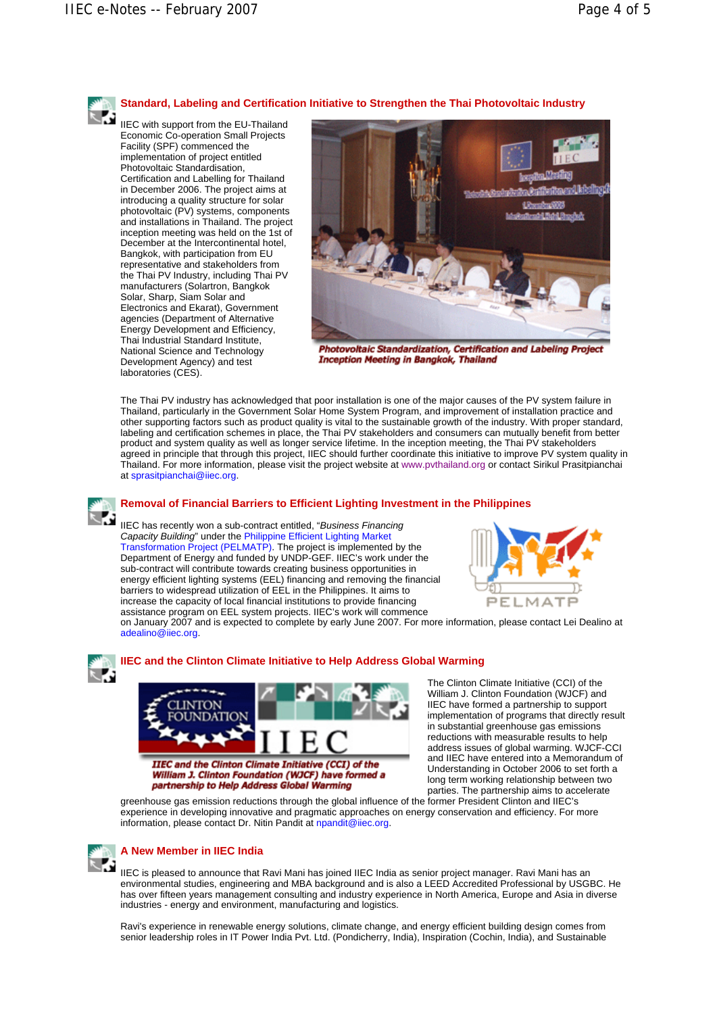# **Standard, Labeling and Certification Initiative to Strengthen the Thai Photovoltaic Industry**

IIEC with support from the EU-Thailand Economic Co-operation Small Projects Facility (SPF) commenced the implementation of project entitled Photovoltaic Standardisation, Certification and Labelling for Thailand in December 2006. The project aims at introducing a quality structure for solar photovoltaic (PV) systems, components and installations in Thailand. The project inception meeting was held on the 1st of December at the Intercontinental hotel, Bangkok, with participation from EU representative and stakeholders from the Thai PV Industry, including Thai PV manufacturers (Solartron, Bangkok Solar, Sharp, Siam Solar and Electronics and Ekarat), Government agencies (Department of Alternative Energy Development and Efficiency, Thai Industrial Standard Institute, National Science and Technology Development Agency) and test laboratories (CES).



Photovoltaic Standardization, Certification and Labeling Project **Inception Meeting in Bangkok, Thailand** 

The Thai PV industry has acknowledged that poor installation is one of the major causes of the PV system failure in Thailand, particularly in the Government Solar Home System Program, and improvement of installation practice and other supporting factors such as product quality is vital to the sustainable growth of the industry. With proper standard, labeling and certification schemes in place, the Thai PV stakeholders and consumers can mutually benefit from better product and system quality as well as longer service lifetime. In the inception meeting, the Thai PV stakeholders agreed in principle that through this project, IIEC should further coordinate this initiative to improve PV system quality in Thailand. For more information, please visit the project website at www.pvthailand.org or contact Sirikul Prasitpianchai at sprasitpianchai@iiec.org.



# **Removal of Financial Barriers to Efficient Lighting Investment in the Philippines**

IIEC has recently won a sub-contract entitled, "*Business Financing Capacity Building*" under the Philippine Efficient Lighting Market Transformation Project (PELMATP). The project is implemented by the Department of Energy and funded by UNDP-GEF. IIEC's work under the sub-contract will contribute towards creating business opportunities in energy efficient lighting systems (EEL) financing and removing the financial barriers to widespread utilization of EEL in the Philippines. It aims to increase the capacity of local financial institutions to provide financing assistance program on EEL system projects. IIEC's work will commence



on January 2007 and is expected to complete by early June 2007. For more information, please contact Lei Dealino at adealino@iiec.org.



### **IIEC and the Clinton Climate Initiative to Help Address Global Warming**



William J. Clinton Foundation (WJCF) have formed a partnership to Help Address Global Warming

The Clinton Climate Initiative (CCI) of the William J. Clinton Foundation (WJCF) and IIEC have formed a partnership to support implementation of programs that directly result in substantial greenhouse gas emissions reductions with measurable results to help address issues of global warming. WJCF-CCI and IIEC have entered into a Memorandum of Understanding in October 2006 to set forth a long term working relationship between two parties. The partnership aims to accelerate

greenhouse gas emission reductions through the global influence of the former President Clinton and IIEC's experience in developing innovative and pragmatic approaches on energy conservation and efficiency. For more information, please contact Dr. Nitin Pandit at npandit@iiec.org.



# **A New Member in IIEC India**

IIEC is pleased to announce that Ravi Mani has joined IIEC India as senior project manager. Ravi Mani has an environmental studies, engineering and MBA background and is also a LEED Accredited Professional by USGBC. He has over fifteen years management consulting and industry experience in North America, Europe and Asia in diverse industries - energy and environment, manufacturing and logistics.

Ravi's experience in renewable energy solutions, climate change, and energy efficient building design comes from senior leadership roles in IT Power India Pvt. Ltd. (Pondicherry, India), Inspiration (Cochin, India), and Sustainable